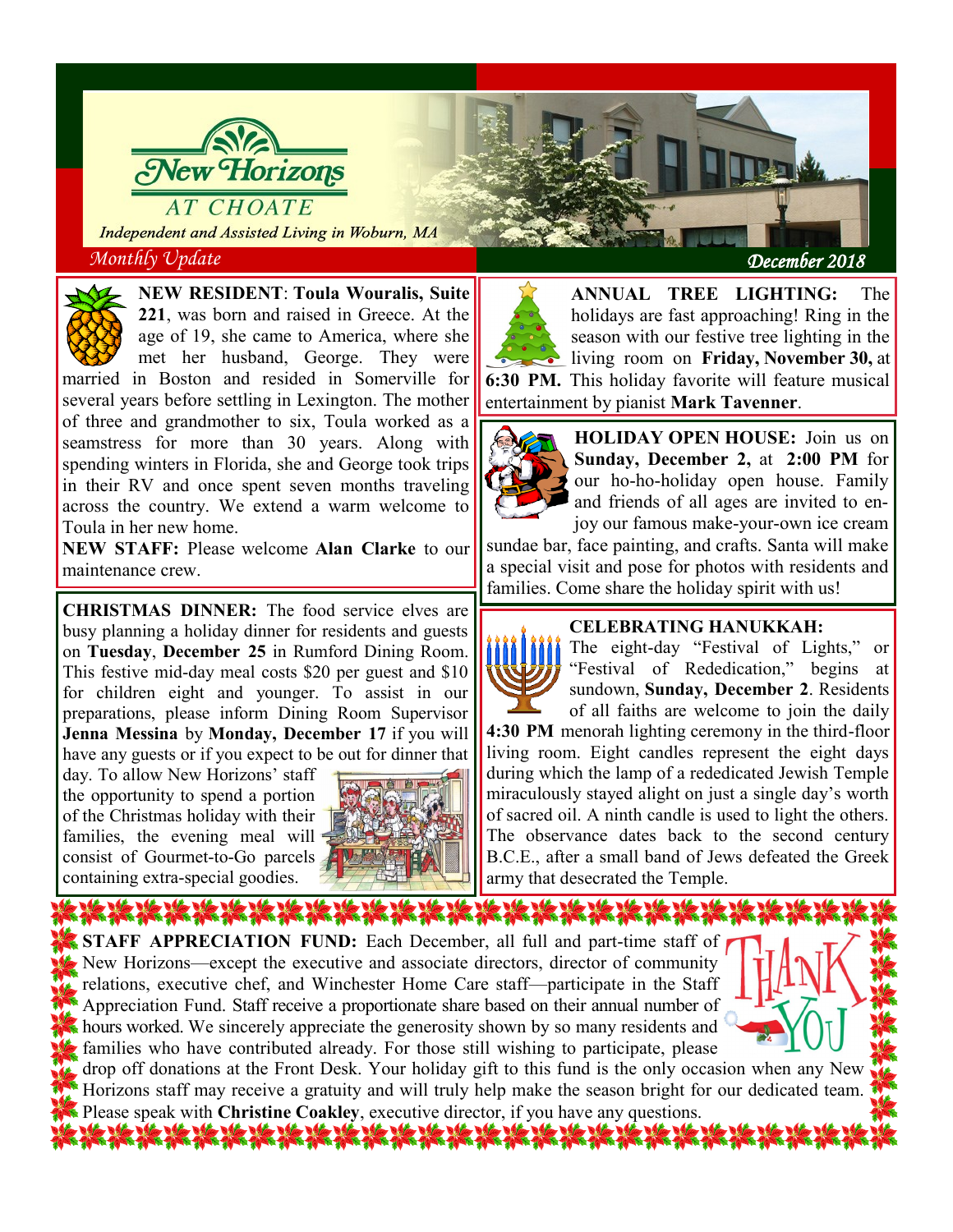

Independent and Assisted Living in Woburn, MA



**NEW RESIDENT**: **Toula Wouralis, Suite 221**, was born and raised in Greece. At the age of 19, she came to America, where she met her husband, George. They were

married in Boston and resided in Somerville for several years before settling in Lexington. The mother of three and grandmother to six, Toula worked as a seamstress for more than 30 years. Along with spending winters in Florida, she and George took trips in their RV and once spent seven months traveling across the country. We extend a warm welcome to Toula in her new home.

**NEW STAFF:** Please welcome **Alan Clarke** to our maintenance crew.

**CHRISTMAS DINNER:** The food service elves are busy planning a holiday dinner for residents and guests on **Tuesday**, **December 25** in Rumford Dining Room. This festive mid-day meal costs \$20 per guest and \$10 for children eight and younger. To assist in our preparations, please inform Dining Room Supervisor **Jenna Messina** by **Monday, December 17** if you will have any guests or if you expect to be out for dinner that

day. To allow New Horizons' staff the opportunity to spend a portion of the Christmas holiday with their families, the evening meal will consist of Gourmet-to-Go parcels containing extra-special goodies.



*Monthly Update*  $D$ 

**ANNUAL TREE LIGHTING:** The holidays are fast approaching! Ring in the season with our festive tree lighting in the living room on **Friday, November 30,** at **6:30 PM.** This holiday favorite will feature musical entertainment by pianist **Mark Tavenner**.



**HOLIDAY OPEN HOUSE:** Join us on **Sunday, December 2,** at **2:00 PM** for our ho-ho-holiday open house. Family and friends of all ages are invited to enjoy our famous make-your-own ice cream

sundae bar, face painting, and crafts. Santa will make a special visit and pose for photos with residents and families. Come share the holiday spirit with us!

## **CELEBRATING HANUKKAH:**

The eight-day "Festival of Lights," or "Festival of Rededication," begins at sundown, **Sunday, December 2**. Residents of all faiths are welcome to join the daily **4:30 PM** menorah lighting ceremony in the third-floor living room. Eight candles represent the eight days during which the lamp of a rededicated Jewish Temple miraculously stayed alight on just a single day's worth of sacred oil. A ninth candle is used to light the others. The observance dates back to the second century B.C.E., after a small band of Jews defeated the Greek army that desecrated the Temple.

**STAFF APPRECIATION FUND:** Each December, all full and part-time staff of New Horizons—except the executive and associate directors, director of community relations, executive chef, and Winchester Home Care staff—participate in the Staff Appreciation Fund. Staff receive a proportionate share based on their annual number of hours worked. We sincerely appreciate the generosity shown by so many residents and families who have contributed already. For those still wishing to participate, please



drop off donations at the Front Desk. Your holiday gift to this fund is the only occasion when any New Horizons staff may receive a gratuity and will truly help make the season bright for our dedicated team. Please speak with **Christine Coakley**, executive director, if you have any questions.